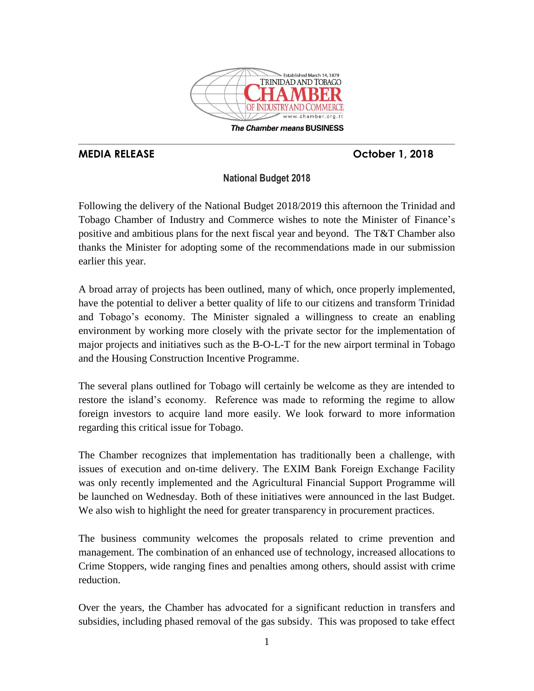

The Chamber means BUSINESS

# **MEDIA RELEASE October 1, 2018**

## **National Budget 2018**

Following the delivery of the National Budget 2018/2019 this afternoon the Trinidad and Tobago Chamber of Industry and Commerce wishes to note the Minister of Finance's positive and ambitious plans for the next fiscal year and beyond. The T&T Chamber also thanks the Minister for adopting some of the recommendations made in our submission earlier this year.

A broad array of projects has been outlined, many of which, once properly implemented, have the potential to deliver a better quality of life to our citizens and transform Trinidad and Tobago's economy. The Minister signaled a willingness to create an enabling environment by working more closely with the private sector for the implementation of major projects and initiatives such as the B-O-L-T for the new airport terminal in Tobago and the Housing Construction Incentive Programme.

The several plans outlined for Tobago will certainly be welcome as they are intended to restore the island's economy. Reference was made to reforming the regime to allow foreign investors to acquire land more easily. We look forward to more information regarding this critical issue for Tobago.

The Chamber recognizes that implementation has traditionally been a challenge, with issues of execution and on-time delivery. The EXIM Bank Foreign Exchange Facility was only recently implemented and the Agricultural Financial Support Programme will be launched on Wednesday. Both of these initiatives were announced in the last Budget. We also wish to highlight the need for greater transparency in procurement practices.

The business community welcomes the proposals related to crime prevention and management. The combination of an enhanced use of technology, increased allocations to Crime Stoppers, wide ranging fines and penalties among others, should assist with crime reduction.

Over the years, the Chamber has advocated for a significant reduction in transfers and subsidies, including phased removal of the gas subsidy. This was proposed to take effect